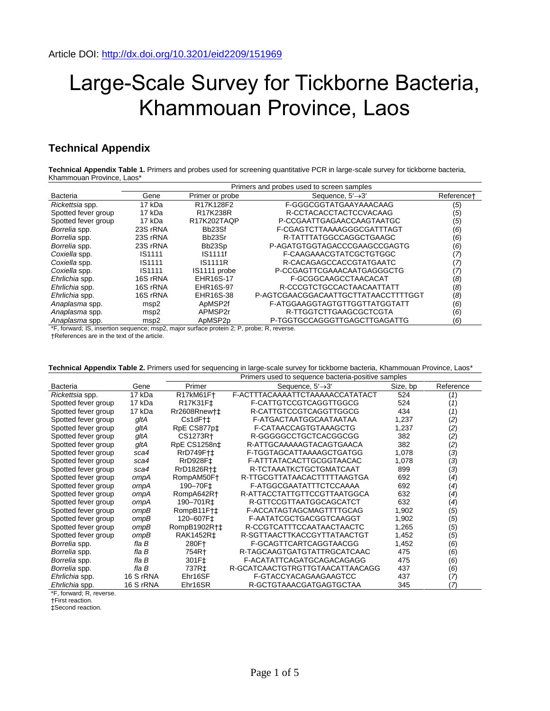## Large-Scale Survey for Tickborne Bacteria, Khammouan Province, Laos

## **Technical Appendix**

**Technical Appendix Table 1.** Primers and probes used for screening quantitative PCR in large-scale survey for tickborne bacteria, Khammouan Province, Laos\*

|                     | Primers and probes used to screen samples |                                 |                                     |                        |  |  |
|---------------------|-------------------------------------------|---------------------------------|-------------------------------------|------------------------|--|--|
| Bacteria            | Gene                                      | Primer or probe                 | Sequence, $5' \rightarrow 3'$       | Reference <sup>+</sup> |  |  |
| Rickettsia spp.     | 17 kDa                                    | R17K128F2                       | F-GGGCGGTATGAAYAAACAAG              | (5)                    |  |  |
| Spotted fever group | 17 kDa                                    | R17K238R                        | R-CCTACACCTACTCCVACAAG              | (5)                    |  |  |
| Spotted fever group | 17 kDa                                    | R17K202TAOP                     | P-CCGAATTGAGAACCAAGTAATGC           | (5)                    |  |  |
| Borrelia spp.       | 23S rRNA                                  | Bb <sub>23</sub> Sf             | F-CGAGTCTTAAAAGGGCGATTTAGT          | (6)                    |  |  |
| Borrelia spp.       | 23S rRNA                                  | Bb <sub>23</sub> Sr             | R-TATTTATGGCCAGGCTGAAGC             | (6)                    |  |  |
| Borrelia spp.       | 23S rRNA                                  | Bb <sub>23</sub> S <sub>p</sub> | P-AGATGTGGTAGACCCGAAGCCGAGTG        | (6)                    |  |  |
| Coxiella spp.       | IS1111                                    | IS1111f                         | F-CAAGAAACGTATCGCTGTGGC             | (7)                    |  |  |
| Coxiella spp.       | IS1111                                    | <b>IS1111R</b>                  | R-CACAGAGCCACCGTATGAATC             | (7)                    |  |  |
| Coxiella spp.       | IS1111                                    | IS1111 probe                    | P-CCGAGTTCGAAACAATGAGGGCTG          | 7                      |  |  |
| Ehrlichia spp.      | 16S rRNA                                  | EHR16S-17                       | F-GCGGCAAGCCTAACACAT                | (8)                    |  |  |
| Ehrlichia spp.      | 16S rRNA                                  | EHR16S-97                       | R-CCCGTCTGCCACTAACAATTATT           | (8)                    |  |  |
| Ehrlichia spp.      | 16S rRNA                                  | EHR16S-38                       | P-AGTCGAACGGACAATTGCTTATAACCTTTTGGT | (8)                    |  |  |
| Anaplasma spp.      | msp2                                      | ApMSP2f                         | F-ATGGAAGGTAGTGTTGGTTATGGTATT       | (6)                    |  |  |
| Anaplasma spp.      | msp2                                      | APMSP2r                         | R-TTGGTCTTGAAGCGCTCGTA              | (6)                    |  |  |
| Anaplasma spp.      | msp2                                      | ApMSP2p                         | P-TGGTGCCAGGGTTGAGCTTGAGATTG        | (6)                    |  |  |

\*F, forward; IS, insertion sequence; msp2, major surface protein 2; P, probe; R, reverse. †References are in the text of the article.

|  |  | Technical Appendix Table 2. Primers used for sequencing in large-scale survey for tickborne bacteria, Khammouan Province, Laos* |
|--|--|---------------------------------------------------------------------------------------------------------------------------------|
|  |  |                                                                                                                                 |

|                     |           | Primers used to sequence bacteria-positive samples |                                 |          |                   |  |
|---------------------|-----------|----------------------------------------------------|---------------------------------|----------|-------------------|--|
| Bacteria            | Gene      | Primer                                             | Sequence, $5' \rightarrow 3'$   | Size, bp | Reference         |  |
| Rickettsia spp.     | 17 kDa    | R17kM61F†                                          | F-ACTTTACAAAATTCTAAAAACCATATACT | 524      | (1)               |  |
| Spotted fever group | 17 kDa    | R17K31F‡                                           | F-CATTGTCCGTCAGGTTGGCG          | 524      | (1)               |  |
| Spotted fever group | 17 kDa    | Rr2608Rnew†‡                                       | R-CATTGTCCGTCAGGTTGGCG          | 434      | (1)               |  |
| Spotted fever group | gltA      | $Cs1dF$ <sup><math>+1</math></sup>                 | F-ATGACTAATGGCAATAATAA          | 1,237    | (2)               |  |
| Spotted fever group | gltA      | RpE CS877p‡                                        | F-CATAACCAGTGTAAAGCTG           | 1,237    | (2)               |  |
| Spotted fever group | gltA      | CS1273R <sup>+</sup>                               | R-GGGGGCCTGCTCACGGCGG           | 382      | (2)               |  |
| Spotted fever group | gltA      | RpE CS1258n‡                                       | R-ATTGCAAAAAGTACAGTGAACA        | 382      | (2)               |  |
| Spotted fever group | sca4      | RrD749F†‡                                          | F-TGGTAGCATTAAAAGCTGATGG        | 1,078    | (3)               |  |
| Spotted fever group | sca4      | RrD928F‡                                           | F-ATTTATACACTTGCGGTAACAC        | 1,078    | (3)               |  |
| Spotted fever group | sca4      | RrD1826R+±                                         | R-TCTAAATKCTGCTGMATCAAT         | 899      | (3)               |  |
| Spotted fever group | ompA      | RompAM50F+                                         | R-TTGCGTTATAACACTTTTTAAGTGA     | 692      | (4)               |  |
| Spotted fever group | ompA      | 190-70F‡                                           | F-ATGGCGAATATTTCTCCAAAA         | 692      | $\left( 4\right)$ |  |
| Spotted fever group | ompA      | RompA642R+                                         | R-ATTACCTATTGTTCCGTTAATGGCA     | 632      | (4)               |  |
| Spotted fever group | ompA      | 190-701R‡                                          | R-GTTCCGTTAATGGCAGCATCT         | 632      | (4)               |  |
| Spotted fever group | ompB      | RompB11F†‡                                         | F-ACCATAGTAGCMAGTTTTGCAG        | 1,902    | (5)               |  |
| Spotted fever group | ompB      | 120-607F‡                                          | F-AATATCGCTGACGGTCAAGGT         | 1,902    | (5)               |  |
| Spotted fever group | ompB      | RompB1902R†‡                                       | R-CCGTCATTTCCAATAACTAACTC       | 1,265    | (5)               |  |
| Spotted fever group | ompB      | RAK1452R‡                                          | R-SGTTAACTTKACCGYTTATAACTGT     | 1,452    | (5)               |  |
| Borrelia spp.       | fla B     | 280F†                                              | F-GCAGTTCARTCAGGTAACGG          | 1,452    | (6)               |  |
| Borrelia spp.       | $f/a$ $B$ | 754R†                                              | R-TAGCAAGTGATGTATTRGCATCAAC     | 475      | (6)               |  |
| Borrelia spp.       | fla B     | 301F <sup>±</sup>                                  | F-ACATATTCAGATGCAGACAGAGG       | 475      | (6)               |  |
| Borrelia spp.       | fla B     | 737R‡                                              | R-GCATCAACTGTRGTTGTAACATTAACAGG | 437      | (6)               |  |
| Ehrlichia spp.      | 16 S rRNA | Ehr16SF                                            | F-GTACCYACAGAAGAAGTCC           | 437      | $\overline{z}$    |  |
| Ehrlichia spp.      | 16 S rRNA | Ehr16SR                                            | R-GCTGTAAACGATGAGTGCTAA         | 345      | (7)               |  |

\*F, forward; R, reverse.

†First reaction.

‡Second reaction.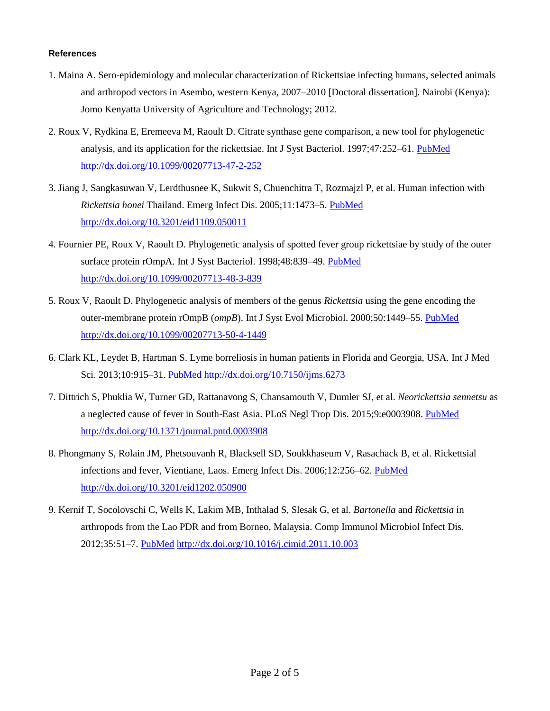## **References**

- 1. Maina A. Sero-epidemiology and molecular characterization of Rickettsiae infecting humans, selected animals and arthropod vectors in Asembo, western Kenya, 2007–2010 [Doctoral dissertation]. Nairobi (Kenya): Jomo Kenyatta University of Agriculture and Technology; 2012.
- 2. Roux V, Rydkina E, Eremeeva M, Raoult D. [Citrate synthase gene comparison, a new tool for phylogenetic](http://www.ncbi.nlm.nih.gov/pubmed/9103608)  [analysis, and its application for the rickettsiae.](http://www.ncbi.nlm.nih.gov/pubmed/9103608) Int J Syst Bacteriol. 1997;47:252–61. [PubMed](http://www.ncbi.nlm.nih.gov/entrez/query.fcgi?cmd=Retrieve&db=PubMed&list_uids=9103608&dopt=Abstract) <http://dx.doi.org/10.1099/00207713-47-2-252>
- 3. Jiang J, Sangkasuwan V, Lerdthusnee K, Sukwit S, Chuenchitra T, Rozmajzl P, et al. Human infection with *Rickettsia honei* Thailand. Emerg Infect Dis. 2005;11:1473–5. [PubMed](http://www.ncbi.nlm.nih.gov/entrez/query.fcgi?cmd=Retrieve&db=PubMed&list_uids=16229787&dopt=Abstract) <http://dx.doi.org/10.3201/eid1109.050011>
- 4. Fournier PE, Roux V, Raoult D. Phylogenetic analysis of spotted fever group rickettsiae by study of the outer surface protein rOmpA. Int J Syst Bacteriol. 1998;48:839–49. [PubMed](http://www.ncbi.nlm.nih.gov/entrez/query.fcgi?cmd=Retrieve&db=PubMed&list_uids=9734038&dopt=Abstract) <http://dx.doi.org/10.1099/00207713-48-3-839>
- 5. Roux V, Raoult D. Phylogenetic analysis of members of the genus *Rickettsia* using the gene encoding the outer-membrane protein rOmpB (*ompB*). Int J Syst Evol Microbiol. 2000;50:1449–55. [PubMed](http://www.ncbi.nlm.nih.gov/entrez/query.fcgi?cmd=Retrieve&db=PubMed&list_uids=10939649&dopt=Abstract) <http://dx.doi.org/10.1099/00207713-50-4-1449>
- 6. Clark KL, Leydet B, Hartman S. Lyme borreliosis in human patients in Florida and Georgia, USA. Int J Med Sci. 2013;10:915–31. [PubMed](http://www.ncbi.nlm.nih.gov/entrez/query.fcgi?cmd=Retrieve&db=PubMed&list_uids=23781138&dopt=Abstract) <http://dx.doi.org/10.7150/ijms.6273>
- 7. Dittrich S, Phuklia W, Turner GD, Rattanavong S, Chansamouth V, Dumler SJ, et al. *Neorickettsia sennetsu* as a neglected cause of fever in South-East Asia. PLoS Negl Trop Dis. 2015;9:e0003908. [PubMed](http://www.ncbi.nlm.nih.gov/entrez/query.fcgi?cmd=Retrieve&db=PubMed&list_uids=26158273&dopt=Abstract) <http://dx.doi.org/10.1371/journal.pntd.0003908>
- 8. Phongmany S, Rolain JM, Phetsouvanh R, Blacksell SD, Soukkhaseum V, Rasachack B, et al. Rickettsial infections and fever, Vientiane, Laos. Emerg Infect Dis. 2006;12:256–62. [PubMed](http://www.ncbi.nlm.nih.gov/entrez/query.fcgi?cmd=Retrieve&db=PubMed&list_uids=16494751&dopt=Abstract) <http://dx.doi.org/10.3201/eid1202.050900>
- 9. Kernif T, Socolovschi C, Wells K, Lakim MB, Inthalad S, Slesak G, et al. *Bartonella* and *Rickettsia* in arthropods from the Lao PDR and from Borneo, Malaysia. Comp Immunol Microbiol Infect Dis. 2012;35:51–7. [PubMed](http://www.ncbi.nlm.nih.gov/entrez/query.fcgi?cmd=Retrieve&db=PubMed&list_uids=22153360&dopt=Abstract) <http://dx.doi.org/10.1016/j.cimid.2011.10.003>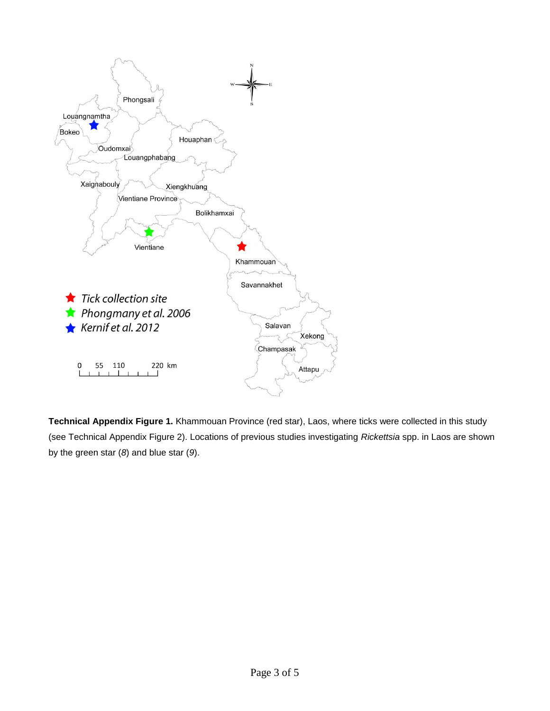

**Technical Appendix Figure 1.** Khammouan Province (red star), Laos, where ticks were collected in this study (see Technical Appendix Figure 2). Locations of previous studies investigating *Rickettsia* spp. in Laos are shown by the green star (*8*) and blue star (*9*).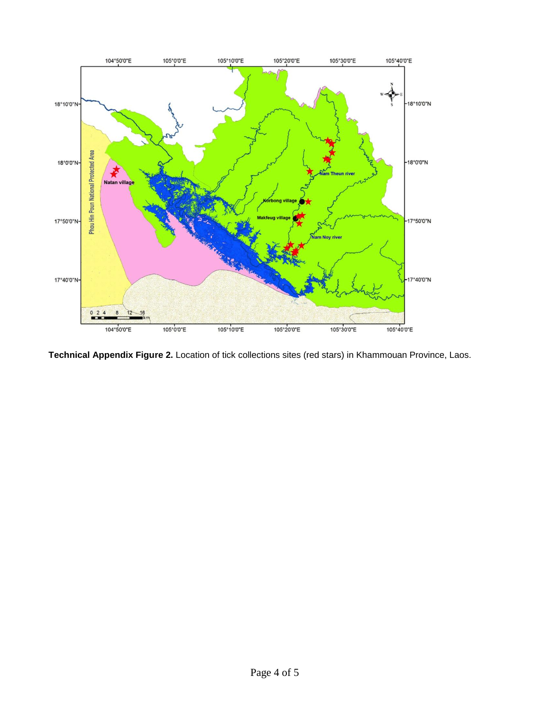

**Technical Appendix Figure 2.** Location of tick collections sites (red stars) in Khammouan Province, Laos.